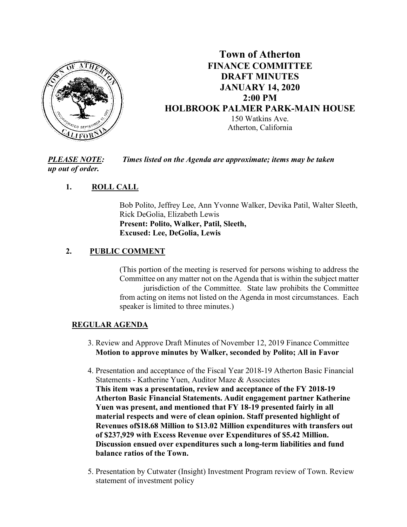

# **Town of Atherton FINANCE COMMITTEE DRAFT MINUTES JANUARY 14, 2020 2:00 PM HOLBROOK PALMER PARK-MAIN HOUSE**  150 Watkins Ave. Atherton, California

*PLEASE NOTE: Times listed on the Agenda are approximate; items may be taken up out of order.* 

## **1. ROLL CALL**

Bob Polito, Jeffrey Lee, Ann Yvonne Walker, Devika Patil, Walter Sleeth, Rick DeGolia, Elizabeth Lewis **Present: Polito, Walker, Patil, Sleeth, Excused: Lee, DeGolia, Lewis** 

### **2. PUBLIC COMMENT**

(This portion of the meeting is reserved for persons wishing to address the Committee on any matter not on the Agenda that is within the subject matter jurisdiction of the Committee. State law prohibits the Committee from acting on items not listed on the Agenda in most circumstances. Each speaker is limited to three minutes.)

#### **REGULAR AGENDA**

- 3. Review and Approve Draft Minutes of November 12, 2019 Finance Committee **Motion to approve minutes by Walker, seconded by Polito; All in Favor**
- 4. Presentation and acceptance of the Fiscal Year 2018-19 Atherton Basic Financial Statements - Katherine Yuen, Auditor Maze & Associates **This item was a presentation, review and acceptance of the FY 2018-19 Atherton Basic Financial Statements. Audit engagement partner Katherine Yuen was present, and mentioned that FY 18-19 presented fairly in all material respects and were of clean opinion. Staff presented highlight of Revenues of\$18.68 Million to \$13.02 Million expenditures with transfers out of \$237,929 with Excess Revenue over Expenditures of \$5.42 Million. Discussion ensued over expenditures such a long-term liabilities and fund balance ratios of the Town.**
- 5. Presentation by Cutwater (Insight) Investment Program review of Town. Review statement of investment policy